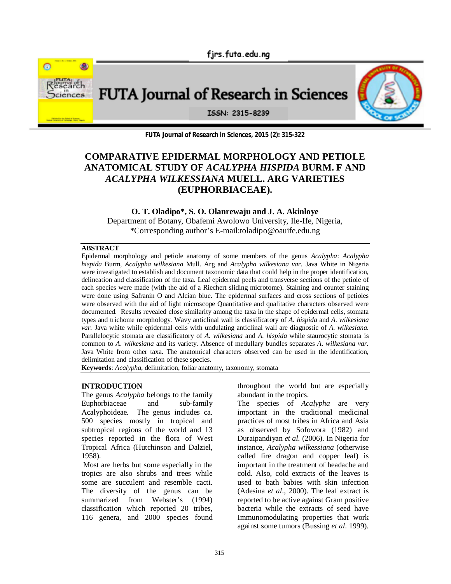fjrs.futa.edu.ng



**FUTA Journal of Research in Sciences** 



ISSN: 2315-8239

**FUTA Journal of Research in Sciences, 2015 (2): 315-322**

# **COMPARATIVE EPIDERMAL MORPHOLOGY AND PETIOLE ANATOMICAL STUDY OF** *ACALYPHA HISPIDA* **BURM. F AND**  *ACALYPHA WILKESSIANA* **MUELL. ARG VARIETIES (EUPHORBIACEAE).**

**O. T. Oladipo\*, S. O. Olanrewaju and J. A. Akinloye** Department of Botany, Obafemi Awolowo University, Ile-Ife, Nigeria, \*Corresponding author's E-mail:toladipo@oauife.edu.ng

### **ABSTRACT**

Epidermal morphology and petiole anatomy of some members of the genus *Acalypha*: *Acalypha hispida* Burm, *Acalypha wilkesiana* Mull. Arg and *Acalypha wilkesiana var.* Java White in Nigeria were investigated to establish and document taxonomic data that could help in the proper identification, delineation and classification of the taxa. Leaf epidermal peels and transverse sections of the petiole of each species were made (with the aid of a Riechert sliding microtome). Staining and counter staining were done using Safranin O and Alcian blue. The epidermal surfaces and cross sections of petioles were observed with the aid of light microscope Quantitative and qualitative characters observed were documented. Results revealed close similarity among the taxa in the shape of epidermal cells, stomata types and trichome morphology. Wavy anticlinal wall is classificatory of *A. hispida* and *A. wilkesiana var.* Java white while epidermal cells with undulating anticlinal wall are diagnostic of *A. wilkesiana.*  Parallelocytic stomata are classificatory of *A. wilkesiana* and *A. hispida* while staurocytic stomata is common to *A. wilkesiana* and its variety. Absence of medullary bundles separates *A. wilkesiana var.* Java White from other taxa. The anatomical characters observed can be used in the identification, delimitation and classification of these species.

**Keywords**: *Acalypha*, delimitation, foliar anatomy, taxonomy, stomata

### **INTRODUCTION**

The genus *Acalypha* belongs to the family Euphorbiaceae and sub-family Acalyphoideae. The genus includes ca. 500 species mostly in tropical and subtropical regions of the world and 13 species reported in the flora of West Tropical Africa (Hutchinson and Dalziel, 1958).

 Most are herbs but some especially in the tropics are also shrubs and trees while some are succulent and resemble cacti. The diversity of the genus can be summarized from Webster's (1994) classification which reported 20 tribes, 116 genera, and 2000 species found

throughout the world but are especially abundant in the tropics.

The species of *Acalypha* are very important in the traditional medicinal practices of most tribes in Africa and Asia as observed by Sofowora (1982) and Duraipandiyan *et al.* (2006). In Nigeria for instance, *Acalypha wilkessiana* (otherwise called fire dragon and copper leaf) is important in the treatment of headache and cold. Also, cold extracts of the leaves is used to bath babies with skin infection (Adesina *et al*., 2000). The leaf extract is reported to be active against Gram positive bacteria while the extracts of seed have Immunomodulating properties that work against some tumors (Bussing *et al*. 1999).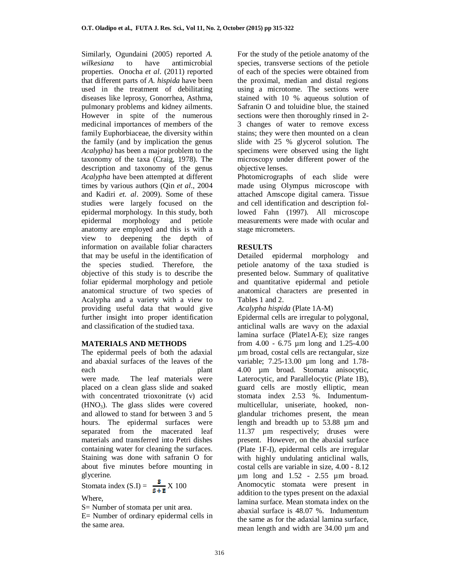Similarly, Ogundaini (2005) reported *A.*<br>*wilkesiang* to have antimicrobial *wilkesiana* to have antimicrobial properties. Onocha *et al*. (2011) reported that different parts of *A. hispida* have been used in the treatment of debilitating diseases like leprosy, Gonorrhea, Asthma, pulmonary problems and kidney ailments. However in spite of the numerous medicinal importances of members of the family Euphorbiaceae, the diversity within the family (and by implication the genus *Acalypha)* has been a major problem to the taxonomy of the taxa (Craig, 1978). The description and taxonomy of the genus *Acalypha* have been attempted at different times by various authors (Qin *et al*., 2004 and Kadiri *et. al*. 2009). Some of these studies were largely focused on the epidermal morphology. In this study, both epidermal morphology and petiole anatomy are employed and this is with a view to deepening the depth of information on available foliar characters that may be useful in the identification of the species studied. Therefore, the objective of this study is to describe the foliar epidermal morphology and petiole anatomical structure of two species of Acalypha and a variety with a view to providing useful data that would give further insight into proper identification and classification of the studied taxa.

### **MATERIALS AND METHODS**

The epidermal peels of both the adaxial and abaxial surfaces of the leaves of the each plant were made. The leaf materials were placed on a clean glass slide and soaked with concentrated trioxonitrate (v) acid  $(HNO<sub>3</sub>)$ . The glass slides were covered and allowed to stand for between 3 and 5 hours. The epidermal surfaces were separated from the macerated leaf materials and transferred into Petri dishes containing water for cleaning the surfaces. Staining was done with safranin O for about five minutes before mounting in glycerine.

$$
Stomata index (S.I) = \frac{S}{S+E} X 100
$$

Where,

S= Number of stomata per unit area.

E= Number of ordinary epidermal cells in the same area.

For the study of the petiole anatomy of the species, transverse sections of the petiole of each of the species were obtained from the proximal, median and distal regions using a microtome. The sections were stained with 10 % aqueous solution of Safranin O and toluidine blue, the stained sections were then thoroughly rinsed in 2- 3 changes of water to remove excess stains; they were then mounted on a clean slide with 25 % glycerol solution. The specimens were observed using the light microscopy under different power of the objective lenses.

Photomicrographs of each slide were made using Olympus microscope with attached Amscope digital camera. Tissue and cell identification and description followed Fahn (1997). All microscope measurements were made with ocular and stage micrometers.

## **RESULTS**

Detailed epidermal morphology and petiole anatomy of the taxa studied is presented below. Summary of qualitative and quantitative epidermal and petiole anatomical characters are presented in Tables 1 and 2.

*Acalypha hispida* (Plate 1A-M)

Epidermal cells are irregular to polygonal, anticlinal walls are wavy on the adaxial lamina surface (Plate1A-E); size ranges from 4.00 - 6.75 µm long and 1.25-4.00 µm broad, costal cells are rectangular, size variable; 7.25-13.00 µm long and 1.78- 4.00 µm broad. Stomata anisocytic, Laterocytic, and Parallelocytic (Plate 1B), guard cells are mostly elliptic, mean stomata index 2.53 %. Indumentummulticellular, uniseriate, hooked, nonglandular trichomes present, the mean length and breadth up to 53.88 µm and 11.37 µm respectively; druses were present. However, on the abaxial surface (Plate 1F-I), epidermal cells are irregular with highly undulating anticlinal walls, costal cells are variable in size, 4.00 - 8.12 µm long and 1.52 - 2.55 µm broad. Anomocytic stomata were present in addition to the types present on the adaxial lamina surface. Mean stomata index on the abaxial surface is 48.07 %. Indumentum the same as for the adaxial lamina surface, mean length and width are 34.00 µm and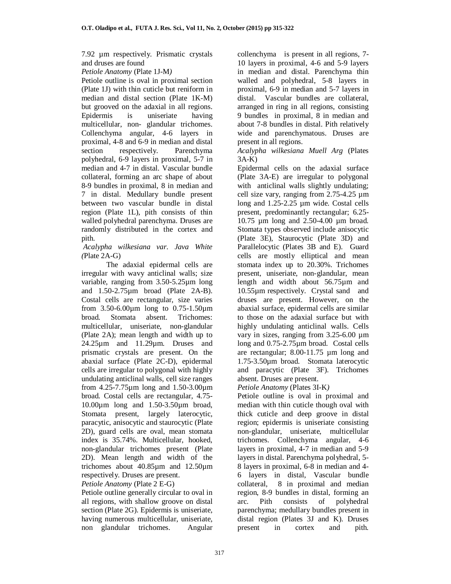7.92 µm respectively. Prismatic crystals and druses are found

*Petiole Anatomy* (Plate 1J-M*)*

Petiole outline is oval in proximal section (Plate 1J) with thin cuticle but reniform in median and distal section (Plate 1K-M) but grooved on the adaxial in all regions. Epidermis is uniseriate having multicellular, non- glandular trichomes. Collenchyma angular, 4-6 layers in proximal, 4-8 and 6-9 in median and distal section respectively. Parenchyma polyhedral, 6-9 layers in proximal, 5-7 in median and 4-7 in distal. Vascular bundle collateral, forming an arc shape of about 8-9 bundles in proximal, 8 in median and 7 in distal. Medullary bundle present between two vascular bundle in distal region (Plate 1L), pith consists of thin walled polyhedral parenchyma. Druses are randomly distributed in the cortex and pith.

### *Acalypha wilkesiana var. Java White (*Plate 2A-G)

The adaxial epidermal cells are irregular with wavy anticlinal walls; size variable, ranging from 3.50-5.25µm long and 1.50-2.75µm broad (Plate 2A-B). Costal cells are rectangular, size varies from 3.50-6.00µm long to 0.75-1.50µm broad. Stomata absent. Trichomes: multicellular, uniseriate, non-glandular (Plate 2A); mean length and width up to 24.25µm and 11.29µm. Druses and prismatic crystals are present. On the abaxial surface (Plate 2C-D), epidermal cells are irregular to polygonal with highly undulating anticlinal walls, cell size ranges from 4.25-7.75µm long and 1.50-3.00µm broad. Costal cells are rectangular, 4.75- 10.00µm long and 1.50-3.50µm broad, Stomata present, largely laterocytic, paracytic, anisocytic and staurocytic (Plate 2D), guard cells are oval, mean stomata index is 35.74%. Multicellular, hooked, non-glandular trichomes present (Plate 2D). Mean length and width of the trichomes about 40.85µm and 12.50µm respectively. Druses are present. *Petiole Anatomy* (Plate 2 E-G)

Petiole outline generally circular to oval in all regions, with shallow groove on distal section (Plate 2G). Epidermis is uniseriate, having numerous multicellular, uniseriate, non glandular trichomes. Angular collenchyma is present in all regions, 7- 10 layers in proximal, 4-6 and 5-9 layers in median and distal. Parenchyma thin walled and polyhedral, 5-8 layers in proximal, 6-9 in median and 5-7 layers in distal. Vascular bundles are collateral, arranged in ring in all regions, consisting 9 bundles in proximal, 8 in median and about 7-8 bundles in distal. Pith relatively wide and parenchymatous. Druses are present in all regions.

*Acalypha wilkesiana Muell Arg* (Plates 3A-K)

Epidermal cells on the adaxial surface (Plate 3A-E) are irregular to polygonal with anticlinal walls slightly undulating; cell size vary, ranging from 2.75-4.25 µm long and 1.25-2.25 µm wide. Costal cells present, predominantly rectangular; 6.25- 10.75 µm long and 2.50-4.00 µm broad. Stomata types observed include anisocytic (Plate 3E), Staurocytic (Plate 3D) and Parallelocytic (Plates 3B and E). Guard cells are mostly elliptical and mean stomata index up to 20.30%. Trichomes present, uniseriate, non-glandular, mean length and width about 56.75µm and 10.55µm respectively. Crystal sand and druses are present. However, on the abaxial surface, epidermal cells are similar to those on the adaxial surface but with highly undulating anticlinal walls. Cells vary in sizes, ranging from  $3.25-6.00 \mu m$ long and 0.75-2.75µm broad. Costal cells are rectangular; 8.00-11.75 µm long and 1.75-3.50µm broad. Stomata laterocytic and paracytic (Plate 3F). Trichomes absent. Druses are present.

*Petiole Anatomy* (Plates 3I-K*)*

Petiole outline is oval in proximal and median with thin cuticle though oval with thick cuticle and deep groove in distal region; epidermis is uniseriate consisting non-glandular, uniseriate, multicellular trichomes. Collenchyma angular, 4-6 layers in proximal, 4-7 in median and 5-9 layers in distal. Parenchyma polyhedral, 5- 8 layers in proximal, 6-8 in median and 4- 6 layers in distal, Vascular bundle collateral, 8 in proximal and median region, 8-9 bundles in distal, forming an arc. Pith consists of polyhedral parenchyma; medullary bundles present in distal region (Plates 3J and K). Druses present in cortex and pith.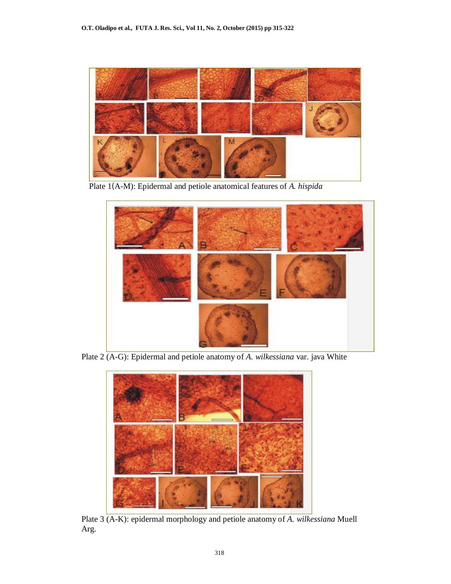

Plate 1(A-M): Epidermal and petiole anatomical features of *A. hispida*



Plate 2 (A-G): Epidermal and petiole anatomy of *A. wilkessiana* var. java White



Plate 3 (A-K): epidermal morphology and petiole anatomy of *A. wilkessiana* Muell Arg.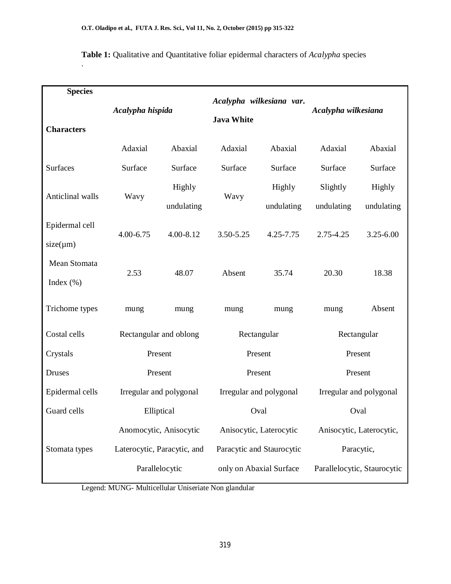.

| <b>Species</b>                  |                  |                             |                                               |                         |                             |                      |  |
|---------------------------------|------------------|-----------------------------|-----------------------------------------------|-------------------------|-----------------------------|----------------------|--|
| <b>Characters</b>               | Acalypha hispida |                             | Acalypha wilkesiana var.<br><b>Java White</b> |                         | Acalypha wilkesiana         |                      |  |
|                                 | Adaxial          | Abaxial                     | Adaxial                                       | Abaxial                 | Adaxial                     | Abaxial              |  |
| <b>Surfaces</b>                 | Surface          | Surface                     | Surface                                       | Surface                 | Surface                     | Surface              |  |
| Anticlinal walls                | Wavy             | Highly<br>undulating        | Wavy                                          | Highly<br>undulating    | Slightly<br>undulating      | Highly<br>undulating |  |
| Epidermal cell<br>$size(\mu m)$ | 4.00-6.75        | 4.00-8.12                   | 3.50-5.25                                     | 4.25-7.75               | 2.75-4.25                   | 3.25-6.00            |  |
| Mean Stomata<br>Index $(\% )$   | 2.53             | 48.07                       | Absent                                        | 35.74                   | 20.30                       | 18.38                |  |
| Trichome types                  | mung             | mung                        | mung                                          | mung                    | mung                        | Absent               |  |
| Costal cells                    |                  | Rectangular and oblong      |                                               | Rectangular             | Rectangular                 |                      |  |
| Crystals                        | Present          |                             |                                               | Present                 | Present                     |                      |  |
| <b>Druses</b>                   |                  | Present                     |                                               | Present                 | Present                     |                      |  |
| Epidermal cells                 |                  | Irregular and polygonal     |                                               | Irregular and polygonal | Irregular and polygonal     |                      |  |
| Guard cells                     |                  | Elliptical                  |                                               | Oval                    | Oval                        |                      |  |
|                                 |                  | Anomocytic, Anisocytic      |                                               | Anisocytic, Laterocytic | Anisocytic, Laterocytic,    |                      |  |
| Stomata types                   |                  | Laterocytic, Paracytic, and | Paracytic and Staurocytic                     |                         | Paracytic,                  |                      |  |
|                                 |                  | Parallelocytic              |                                               | only on Abaxial Surface | Parallelocytic, Staurocytic |                      |  |

**Table 1:** Qualitative and Quantitative foliar epidermal characters of *Acalypha* species

Legend: MUNG- Multicellular Uniseriate Non glandular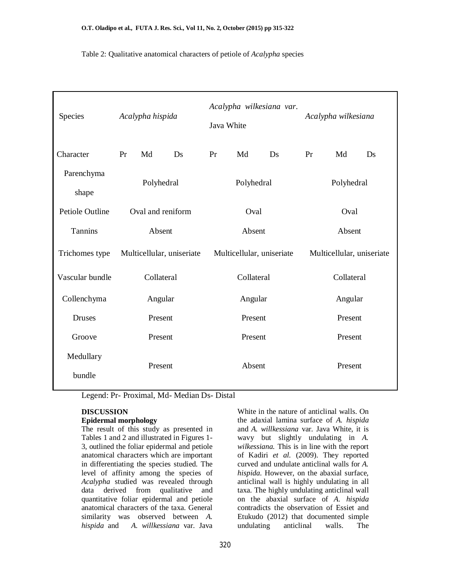Table 2: Qualitative anatomical characters of petiole of *Acalypha* species

| Species                | Acalypha hispida          |         | Acalypha wilkesiana var.<br>Java White |         |                           | Acalypha wilkesiana |         |    |    |
|------------------------|---------------------------|---------|----------------------------------------|---------|---------------------------|---------------------|---------|----|----|
| Character              | Pr                        | Md      | Ds                                     | Pr      | Md                        | Ds                  | Pr      | Md | Ds |
| Parenchyma<br>shape    | Polyhedral                |         | Polyhedral                             |         | Polyhedral                |                     |         |    |    |
| <b>Petiole Outline</b> | Oval and reniform         |         |                                        | Oval    |                           |                     | Oval    |    |    |
| Tannins                | Absent                    |         | Absent                                 |         |                           | Absent              |         |    |    |
| Trichomes type         | Multicellular, uniseriate |         | Multicellular, uniseriate              |         | Multicellular, uniseriate |                     |         |    |    |
| Vascular bundle        | Collateral                |         | Collateral                             |         | Collateral                |                     |         |    |    |
| Collenchyma            | Angular                   |         | Angular                                |         |                           | Angular             |         |    |    |
| Druses                 | Present                   |         | Present                                |         |                           | Present             |         |    |    |
| Groove                 |                           | Present |                                        | Present |                           |                     | Present |    |    |
| Medullary<br>bundle    | Present                   |         | Absent                                 |         |                           | Present             |         |    |    |

Legend: Pr- Proximal, Md- Median Ds- Distal

### **DISCUSSION**

### **Epidermal morphology**

The result of this study as presented in Tables 1 and 2 and illustrated in Figures 1- 3, outlined the foliar epidermal and petiole anatomical characters which are important in differentiating the species studied. The level of affinity among the species of *Acalypha* studied was revealed through data derived from qualitative and quantitative foliar epidermal and petiole anatomical characters of the taxa. General similarity was observed between *A. hispida* and *A. willkessiana* var. Java

White in the nature of anticlinal walls. On the adaxial lamina surface of *A. hispida* and *A. willkessiana* var. Java White, it is wavy but slightly undulating in *A. wilkessiana.* This is in line with the report of Kadiri *et al.* (2009). They reported curved and undulate anticlinal walls for *A. hispida*. However, on the abaxial surface, anticlinal wall is highly undulating in all taxa. The highly undulating anticlinal wall on the abaxial surface of *A. hispida* contradicts the observation of Essiet and Etukudo (2012) that documented simple undulating anticlinal walls. The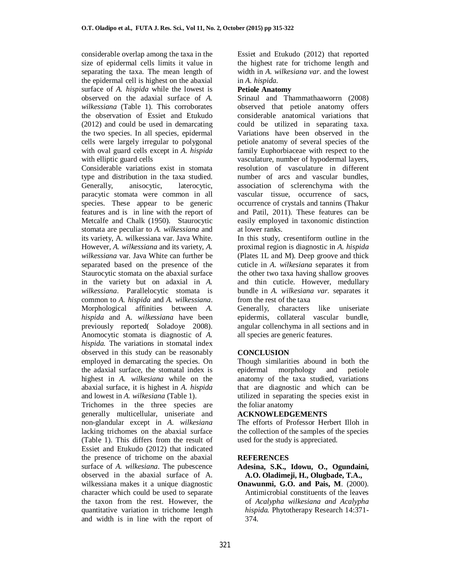considerable overlap among the taxa in the size of epidermal cells limits it value in separating the taxa. The mean length of the epidermal cell is highest on the abaxial surface of *A. hispida* while the lowest is observed on the adaxial surface of *A. wilkessiana* (Table 1). This corroborates the observation of Essiet and Etukudo (2012) and could be used in demarcating the two species. In all species, epidermal cells were largely irregular to polygonal with oval guard cells except in *A. hispida* with elliptic guard cells

Considerable variations exist in stomata type and distribution in the taxa studied. Generally, anisocytic, laterocytic, paracytic stomata were common in all species. These appear to be generic features and is in line with the report of Metcalfe and Chalk (1950). Staurocytic stomata are peculiar to *A. wilkessiana* and its variety, A. wilkessiana var. Java White. However, *A. wilkessiana* and its variety, *A. wilkessiana* var. Java White can further be separated based on the presence of the Staurocytic stomata on the abaxial surface in the variety but on adaxial in *A. wilkessiana*. Parallelocytic stomata is common to *A. hispida* and *A. wilkessiana*. Morphological affinities between *A. hispida* and A. *wilkessiana* have been previously reported( Soladoye 2008). Anomocytic stomata is diagnostic of *A. hispida.* The variations in stomatal index observed in this study can be reasonably employed in demarcating the species. On the adaxial surface, the stomatal index is highest in *A. wilkesiana* while on the abaxial surface, it is highest in *A. hispida*  and lowest in *A. wilkesiana* (Table 1).

Trichomes in the three species are generally multicellular, uniseriate and non-glandular except in *A. wilkesiana* lacking trichomes on the abaxial surface (Table 1). This differs from the result of Essiet and Etukudo (2012) that indicated the presence of trichome on the abaxial surface of *A. wilkesiana*. The pubescence observed in the abaxial surface of A. wilkessiana makes it a unique diagnostic character which could be used to separate the taxon from the rest. However, the quantitative variation in trichome length and width is in line with the report of Essiet and Etukudo (2012) that reported the highest rate for trichome length and width in *A. wilkesiana var*. and the lowest in *A. hispida*.

### **Petiole Anatomy**

Srinaul and Thammathaaworrn (2008) observed that petiole anatomy offers considerable anatomical variations that could be utilized in separating taxa. Variations have been observed in the petiole anatomy of several species of the family Euphorbiaceae with respect to the vasculature, number of hypodermal layers, resolution of vasculature in different number of arcs and vascular bundles, association of sclerenchyma with the vascular tissue, occurrence of sacs, occurrence of crystals and tannins (Thakur and Patil, 2011). These features can be easily employed in taxonomic distinction at lower ranks.

In this study, cresentiform outline in the proximal region is diagnostic in *A. hispida* (Plates 1L and M)*.* Deep groove and thick cuticle in *A. wilkesiana* separates it from the other two taxa having shallow grooves and thin cuticle. However, medullary bundle in *A. wilkesiana var.* separates it from the rest of the taxa

Generally, characters like uniseriate epidermis, collateral vascular bundle, angular collenchyma in all sections and in all species are generic features.

### **CONCLUSION**

Though similarities abound in both the epidermal morphology and petiole anatomy of the taxa studied, variations that are diagnostic and which can be utilized in separating the species exist in the foliar anatomy

### **ACKNOWLEDGEMENTS**

The efforts of Professor Herbert Illoh in the collection of the samples of the species used for the study is appreciated.

### **REFERENCES**

- **Adesina, S.K., Idowu, O., Ogundaini, A.O. Oladimeji, H., Olugbade, T.A.,**
- **Onawunmi, G.O. and Pais, M**. (2000). Antimicrobial constituents of the leaves of *Acalypha wilkesiana and Acalypha hispida.* Phytotherapy Research 14:371- 374.